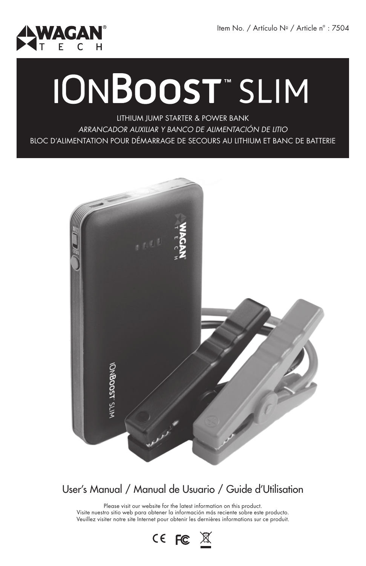

# **IONBOOST**" SLIM

LITHIUM JUMP STARTER & POWER BANK *ARRANCADOR AUXILIAR Y BANCO DE ALIMENTACIÓN DE LITIO* BLOC D'ALIMENTATION POUR DÉMARRAGE DE SECOURS AU LITHIUM ET BANC DE BATTERIE



## User's Manual / Manual de Usuario / Guide d'Utilisation

Please visit our website for the latest information on this product. Visite nuestro sitio web para obtener la información más reciente sobre este producto. Veuillez visiter notre site Internet pour obtenir les dernières informations sur ce produit.

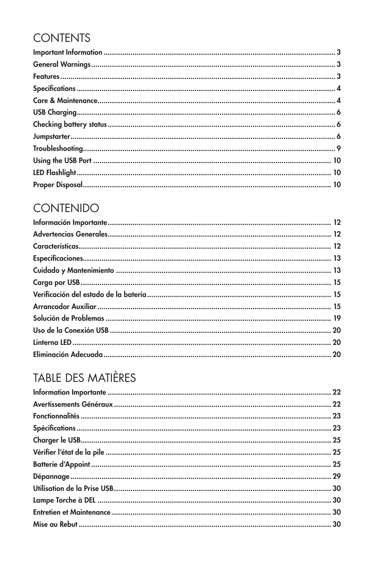## **CONTENTS**

## **CONTENIDO**

# TABLE DES MATIÈRES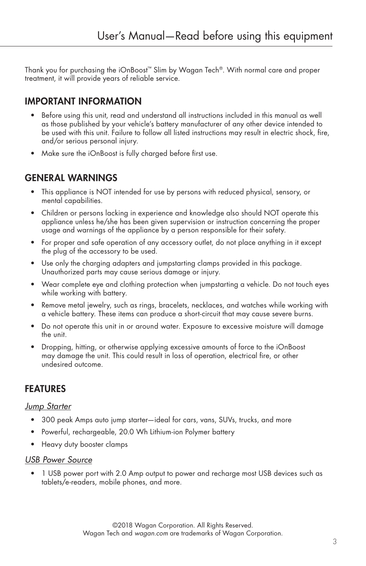Thank you for purchasing the iOnBoost™ Slim by Wagan Tech®. With normal care and proper treatment, it will provide years of reliable service.

## IMPORTANT INFORMATION

- Before using this unit, read and understand all instructions included in this manual as well as those published by your vehicle's battery manufacturer of any other device intended to be used with this unit. Failure to follow all listed instructions may result in electric shock, fire, and/or serious personal injury.
- Make sure the iOnBoost is fully charged before first use.

#### GENERAL WARNINGS

- This appliance is NOT intended for use by persons with reduced physical, sensory, or mental capabilities.
- Children or persons lacking in experience and knowledge also should NOT operate this appliance unless he/she has been given supervision or instruction concerning the proper usage and warnings of the appliance by a person responsible for their safety.
- For proper and safe operation of any accessory outlet, do not place anything in it except the plug of the accessory to be used.
- Use only the charging adapters and jumpstarting clamps provided in this package. Unauthorized parts may cause serious damage or injury.
- Wear complete eye and clothing protection when jumpstarting a vehicle. Do not touch eyes while working with battery.
- Remove metal jewelry, such as rings, bracelets, necklaces, and watches while working with a vehicle battery. These items can produce a short-circuit that may cause severe burns.
- Do not operate this unit in or around water. Exposure to excessive moisture will damage the unit.
- Dropping, hitting, or otherwise applying excessive amounts of force to the iOnBoost may damage the unit. This could result in loss of operation, electrical fire, or other undesired outcome.

#### FEATURES

#### *Jump Starter*

- 300 peak Amps auto jump starter—ideal for cars, vans, SUVs, trucks, and more
- Powerful, rechargeable, 20.0 Wh Lithium-ion Polymer battery
- Heavy duty booster clamps

#### *USB Power Source*

• 1 USB power port with 2.0 Amp output to power and recharge most USB devices such as tablets/e-readers, mobile phones, and more.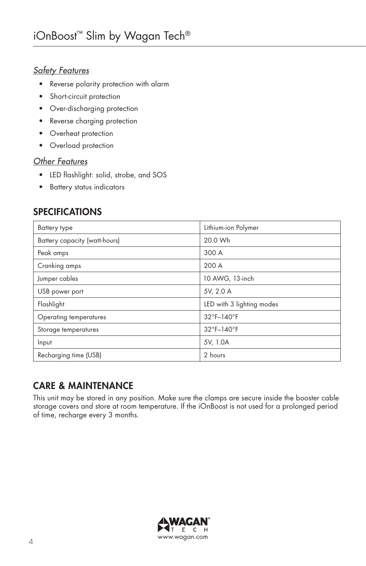#### *Safety Features*

- Reverse polarity protection with alarm
- Short-circuit protection
- Over-discharging protection
- Reverse charging protection
- Overheat protection
- Overload protection

#### *Other Features*

- LED flashlight: solid, strobe, and SOS
- Battery status indicators

## SPECIFICATIONS

| <b>Battery type</b>           | Lithium-ion Polymer       |
|-------------------------------|---------------------------|
| Battery capacity (watt-hours) | 20.0 Wh                   |
| Peak amps                     | 300 A                     |
| Cranking amps                 | 200 A                     |
| Jumper cables                 | 10 AWG, 13-inch           |
| USB power port                | 5V, 2.0 A                 |
| Flashlight                    | LED with 3 lighting modes |
| Operating temperatures        | 32°F-140°F                |
| Storage temperatures          | 32°F-140°F                |
| Input                         | 5V, 1.0A                  |
| Recharging time (USB)         | 2 hours                   |

## CARE & MAINTENANCE

This unit may be stored in any position. Make sure the clamps are secure inside the booster cable storage covers and store at room temperature. If the iOnBoost is not used for a prolonged period of time, recharge every 3 months.

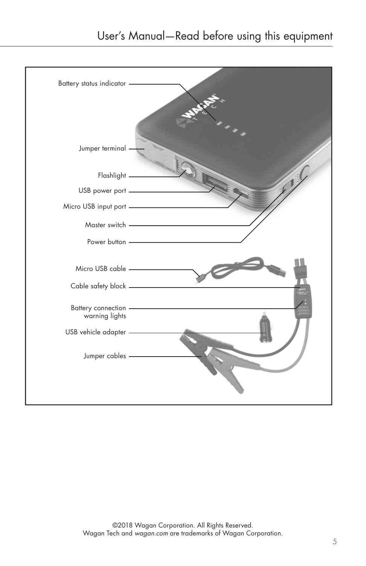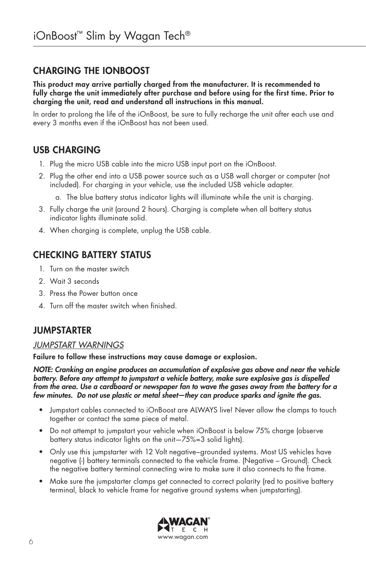## CHARGING THE iOnBoost

This product may arrive partially charged from the manufacturer. It is recommended to fully charge the unit immediately after purchase and before using for the first time. Prior to charging the unit, read and understand all instructions in this manual.

In order to prolong the life of the iOnBoost, be sure to fully recharge the unit after each use and every 3 months even if the iOnBoost has not been used.

## USB CHARGING

- 1. Plug the micro USB cable into the micro USB input port on the iOnBoost.
- 2. Plug the other end into a USB power source such as a USB wall charger or computer (not included). For charging in your vehicle, use the included USB vehicle adapter.
	- a. The blue battery status indicator lights will illuminate while the unit is charging.
- 3. Fully charge the unit (around 2 hours). Charging is complete when all battery status indicator lights illuminate solid.
- 4. When charging is complete, unplug the USB cable.

## CHECKING BATTERY STATUS

- 1. Turn on the master switch
- 2. Wait 3 seconds
- 3. Press the Power button once
- 4. Turn off the master switch when finished.

## JUMPSTARTER

#### *JUMPSTART WARNINGS*

Failure to follow these instructions may cause damage or explosion.

*NOTE: Cranking an engine produces an accumulation of explosive gas above and near the vehicle battery. Before any attempt to jumpstart a vehicle battery, make sure explosive gas is dispelled from the area. Use a cardboard or newspaper fan to wave the gases away from the battery for a few minutes. Do not use plastic or metal sheet—they can produce sparks and ignite the gas.*

- Jumpstart cables connected to iOnBoost are ALWAYS live! Never allow the clamps to touch together or contact the same piece of metal.
- Do not attempt to jumpstart your vehicle when iOnBoost is below 75% charge (observe battery status indicator lights on the unit—75%=3 solid lights).
- Only use this jumpstarter with 12 Volt negative–grounded systems. Most US vehicles have negative (-) battery terminals connected to the vehicle frame. (Negative – Ground). Check the negative battery terminal connecting wire to make sure it also connects to the frame.
- Make sure the jumpstarter clamps get connected to correct polarity (red to positive battery terminal, black to vehicle frame for negative ground systems when jumpstarting).

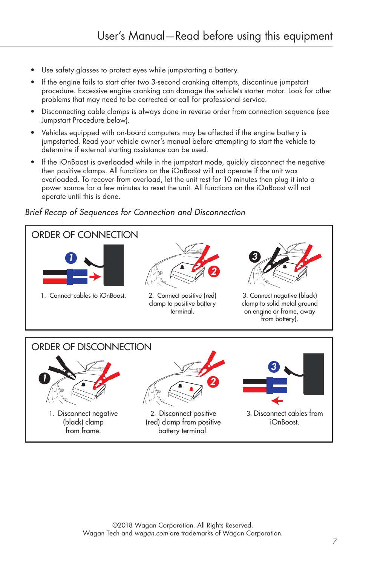- Use safety glasses to protect eyes while jumpstarting a battery.
- If the engine fails to start after two 3-second cranking attempts, discontinue jumpstart procedure. Excessive engine cranking can damage the vehicle's starter motor. Look for other problems that may need to be corrected or call for professional service.
- Disconnecting cable clamps is always done in reverse order from connection sequence (see Jumpstart Procedure below).
- Vehicles equipped with on-board computers may be affected if the engine battery is jumpstarted. Read your vehicle owner's manual before attempting to start the vehicle to determine if external starting assistance can be used.
- If the iOnBoost is overloaded while in the jumpstart mode, quickly disconnect the negative then positive clamps. All functions on the iOnBoost will not operate if the unit was overloaded. To recover from overload, let the unit rest for 10 minutes then plug it into a power source for a few minutes to reset the unit. All functions on the iOnBoost will not operate until this is done.

## *Brief Recap of Sequences for Connection and Disconnection*

from frame.



battery terminal.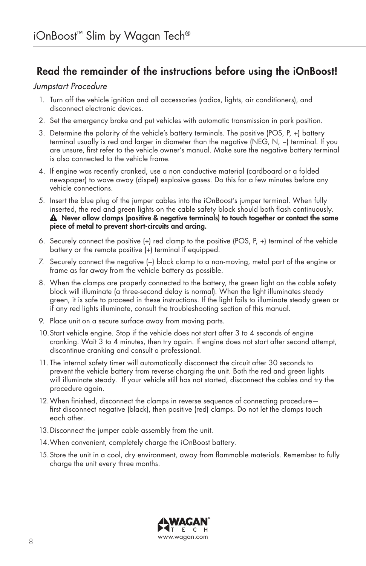## Read the remainder of the instructions before using the iOnBoost!

#### *Jumpstart Procedure*

- 1. Turn off the vehicle ignition and all accessories (radios, lights, air conditioners), and disconnect electronic devices.
- 2. Set the emergency brake and put vehicles with automatic transmission in park position.
- 3. Determine the polarity of the vehicle's battery terminals. The positive (POS, P, +) battery terminal usually is red and larger in diameter than the negative (NEG, N, −) terminal. If you are unsure, first refer to the vehicle owner's manual. Make sure the negative battery terminal is also connected to the vehicle frame.
- 4. If engine was recently cranked, use a non conductive material (cardboard or a folded newspaper) to wave away (dispel) explosive gases. Do this for a few minutes before any vehicle connections.
- 5. Insert the blue plug of the jumper cables into the iOnBoost's jumper terminal. When fully inserted, the red and green lights on the cable safety block should both flash continuously.  $\triangle$  Never allow clamps (positive & negative terminals) to touch together or contact the same piece of metal to prevent short-circuits and arcing.
- 6. Securely connect the positive (+) red clamp to the positive (POS, P, +) terminal of the vehicle battery or the remote positive (+) terminal if equipped.
- 7. Securely connect the negative (−) black clamp to a non-moving, metal part of the engine or frame as far away from the vehicle battery as possible.
- 8. When the clamps are properly connected to the battery, the green light on the cable safety block will illuminate (a three-second delay is normal). When the light illuminates steady green, it is safe to proceed in these instructions. If the light fails to illuminate steady green or if any red lights illuminate, consult the troubleshooting section of this manual.
- 9. Place unit on a secure surface away from moving parts.
- 10.Start vehicle engine. Stop if the vehicle does not start after 3 to 4 seconds of engine cranking. Wait 3 to 4 minutes, then try again. If engine does not start after second attempt, discontinue cranking and consult a professional.
- 11. The internal safety timer will automatically disconnect the circuit after 30 seconds to prevent the vehicle battery from reverse charging the unit. Both the red and green lights will illuminate steady. If your vehicle still has not started, disconnect the cables and try the procedure again.
- 12.When finished, disconnect the clamps in reverse sequence of connecting procedure first disconnect negative (black), then positive (red) clamps. Do not let the clamps touch each other.
- 13.Disconnect the jumper cable assembly from the unit.
- 14.When convenient, completely charge the iOnBoost battery.
- 15.Store the unit in a cool, dry environment, away from flammable materials. Remember to fully charge the unit every three months.

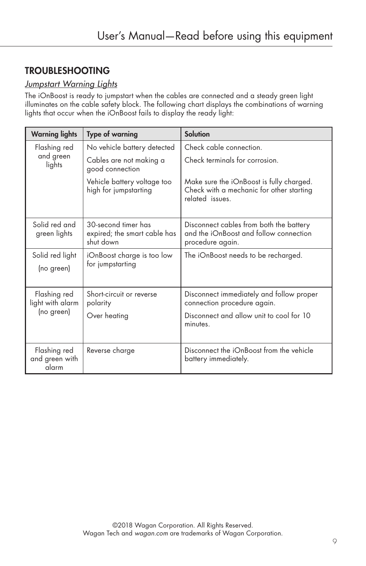## TROUBLESHOOTING

#### *Jumpstart Warning Lights*

The iOnBoost is ready to jumpstart when the cables are connected and a steady green light illuminates on the cable safety block. The following chart displays the combinations of warning lights that occur when the iOnBoost fails to display the ready light:

| <b>Warning lights</b>                   | <b>Type of warning</b>                                           | <b>Solution</b>                                                                                        |
|-----------------------------------------|------------------------------------------------------------------|--------------------------------------------------------------------------------------------------------|
| Flashing red<br>and green<br>lights     | No vehicle battery detected                                      | Check cable connection.                                                                                |
|                                         | Cables are not making a<br>good connection                       | Check terminals for corrosion.                                                                         |
|                                         | Vehicle battery voltage too<br>high for jumpstarting             | Make sure the iOnBoost is fully charged.<br>Check with a mechanic for other starting<br>related issues |
| Solid red and<br>green lights           | 30-second timer has<br>expired; the smart cable has<br>shut down | Disconnect cables from both the battery<br>and the iOnBoost and follow connection<br>procedure again.  |
| Solid red light<br>(no green)           | iOnBoost charge is too low<br>for jumpstarting                   | The iOnBoost needs to be recharged.                                                                    |
| Flashing red<br>light with alarm        | Short-circuit or reverse<br>polarity                             | Disconnect immediately and follow proper<br>connection procedure again.                                |
| (no green)                              | Over heating                                                     | Disconnect and allow unit to cool for 10<br>minutes.                                                   |
| Flashing red<br>and green with<br>alarm | Reverse charge                                                   | Disconnect the iOnBoost from the vehicle<br>battery immediately.                                       |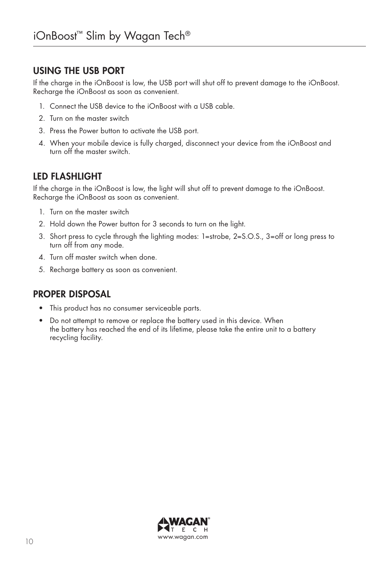## USING THE USB PORT

If the charge in the iOnBoost is low, the USB port will shut off to prevent damage to the iOnBoost. Recharge the iOnBoost as soon as convenient.

- 1. Connect the USB device to the iOnBoost with a USB cable.
- 2. Turn on the master switch
- 3. Press the Power button to activate the USB port.
- 4. When your mobile device is fully charged, disconnect your device from the iOnBoost and turn off the master switch.

## LED FLASHLIGHT

If the charge in the iOnBoost is low, the light will shut off to prevent damage to the iOnBoost. Recharge the iOnBoost as soon as convenient.

- 1. Turn on the master switch
- 2. Hold down the Power button for 3 seconds to turn on the light.
- 3. Short press to cycle through the lighting modes: 1=strobe, 2=S.O.S., 3=off or long press to turn off from any mode.
- 4. Turn off master switch when done.
- 5. Recharge battery as soon as convenient.

## PROPER DISPOSAL

- This product has no consumer serviceable parts.
- Do not attempt to remove or replace the battery used in this device. When the battery has reached the end of its lifetime, please take the entire unit to a battery recycling facility.

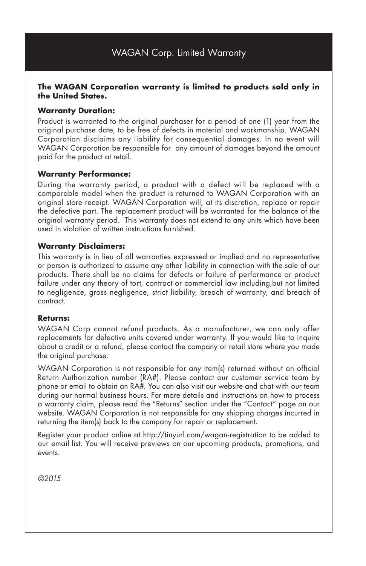#### **The WAGAN Corporation warranty is limited to products sold only in the United States.**

#### **Warranty Duration:**

Product is warranted to the original purchaser for a period of one (1) year from the original purchase date, to be free of defects in material and workmanship. WAGAN Corporation disclaims any liability for consequential damages. In no event will WAGAN Corporation be responsible for any amount of damages beyond the amount paid for the product at retail.

#### **Warranty Performance:**

During the warranty period, a product with a defect will be replaced with a comparable model when the product is returned to WAGAN Corporation with an original store receipt. WAGAN Corporation will, at its discretion, replace or repair the defective part. The replacement product will be warranted for the balance of the original warranty period. This warranty does not extend to any units which have been used in violation of written instructions furnished.

#### **Warranty Disclaimers:**

This warranty is in lieu of all warranties expressed or implied and no representative or person is authorized to assume any other liability in connection with the sale of our products. There shall be no claims for defects or failure of performance or product failure under any theory of tort, contract or commercial law including, but not limited to negligence, gross negligence, strict liability, breach of warranty, and breach of contract.

#### **Returns:**

WAGAN Corp cannot refund products. As a manufacturer, we can only offer replacements for defective units covered under warranty. If you would like to inquire about a credit or a refund, please contact the company or retail store where you made the original purchase.

WAGAN Corporation is not responsible for any item(s) returned without an official Return Authorization number (RA#). Please contact our customer service team by phone or email to obtain an RA#. You can also visit our website and chat with our team during our normal business hours. For more details and instructions on how to process a warranty claim, please read the "Returns" section under the "Contact" page on our website. WAGAN Corporation is not responsible for any shipping charges incurred in returning the item(s) back to the company for repair or replacement.

Register your product online at http://tinyurl.com/wagan-registration to be added to our email list. You will receive previews on our upcoming products, promotions, and events.

*©2015*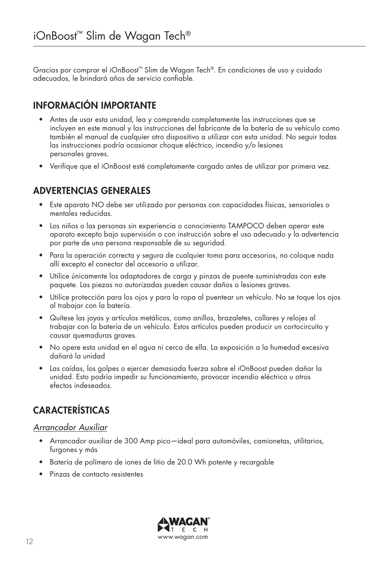Gracias por comprar el iOnBoost™ Slim de Wagan Tech®. En condiciones de uso y cuidado adecuados, le brindará años de servicio confiable.

## INFORMACIÓN IMPORTANTE

- Antes de usar esta unidad, lea y comprenda completamente las instrucciones que se incluyen en este manual y las instrucciones del fabricante de la batería de su vehículo como también el manual de cualquier otro dispositivo a utilizar con esta unidad. No seguir todas las instrucciones podría ocasionar choque eléctrico, incendio y/o lesiones personales graves.
- Verifique que el iOnBoost esté completamente cargado antes de utilizar por primera vez.

## ADVERTENCIAS GENERALES

- Este aparato NO debe ser utilizado por personas con capacidades físicas, sensoriales o mentales reducidas.
- Los niños o las personas sin experiencia o conocimiento TAMPOCO deben operar este aparato excepto bajo supervisión o con instrucción sobre el uso adecuado y la advertencia por parte de una persona responsable de su seguridad.
- Para la operación correcta y segura de cualquier toma para accesorios, no coloque nada allí excepto el conector del accesorio a utilizar.
- Utilice únicamente los adaptadores de carga y pinzas de puente suministradas con este paquete. Las piezas no autorizadas pueden causar daños o lesiones graves.
- Utilice protección para los ojos y para la ropa al puentear un vehículo. No se toque los ojos al trabajar con la batería.
- Quítese las joyas y artículos metálicos, como anillos, brazaletes, collares y relojes al trabajar con la batería de un vehículo. Estos artículos pueden producir un cortocircuito y causar quemaduras graves.
- No opere esta unidad en el agua ni cerca de ella. La exposición a la humedad excesiva dañará la unidad
- Las caídas, los golpes o ejercer demasiada fuerza sobre el iOnBoost pueden dañar la unidad. Esto podría impedir su funcionamiento, provocar incendio eléctrico u otros efectos indeseados.

## CARACTERÍSTICAS

#### *Arrancador Auxiliar*

- Arrancador auxiliar de 300 Amp pico*—*ideal para automóviles, camionetas, utilitarios, furgones y más
- Batería de polímero de iones de litio de 20.0 Wh potente y recargable
- Pinzas de contacto resistentes

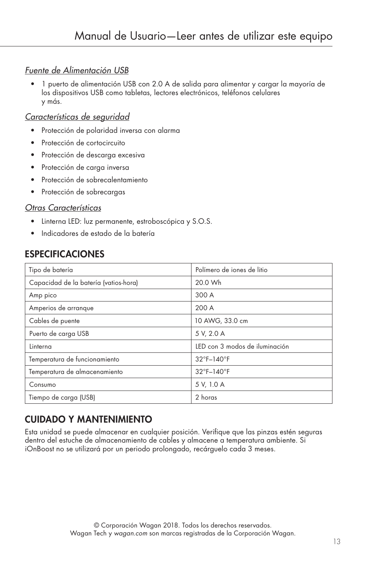#### *Fuente de Alimentación USB*

• 1 puerto de alimentación USB con 2.0 A de salida para alimentar y cargar la mayoría de los dispositivos USB como tabletas, lectores electrónicos, teléfonos celulares y más.

#### *Características de seguridad*

- Protección de polaridad inversa con alarma
- Protección de cortocircuito
- Protección de descarga excesiva
- Protección de carga inversa
- Protección de sobrecalentamiento
- Protección de sobrecargas

#### *Otras Características*

- Linterna LED: luz permanente, estroboscópica y S.O.S.
- Indicadores de estado de la batería

## ESPECIFICACIONES

| Tipo de batería                       | Polímero de jones de litio      |
|---------------------------------------|---------------------------------|
| Capacidad de la batería (vatios-hora) | 20.0 Wh                         |
| Amp pico                              | 300 A                           |
| Amperios de arranque                  | 200 A                           |
| Cables de puente                      | 10 AWG, 33.0 cm                 |
| Puerto de carga USB                   | 5 V, 2.0 A                      |
| Linterna                              | LED con 3 modos de iluminación  |
| Temperatura de funcionamiento         | $32^{\circ}$ F-140 $^{\circ}$ F |
| Temperatura de almacenamiento         | $32^{\circ}$ F-140 $^{\circ}$ F |
| Consumo                               | 5 V, 1.0 A                      |
| Tiempo de carga (USB)                 | 2 horas                         |

## CUIDADO Y MANTENIMIENTO

Esta unidad se puede almacenar en cualquier posición. Verifique que las pinzas estén seguras dentro del estuche de almacenamiento de cables y almacene a temperatura ambiente. Si iOnBoost no se utilizará por un periodo prolongado, recárguelo cada 3 meses.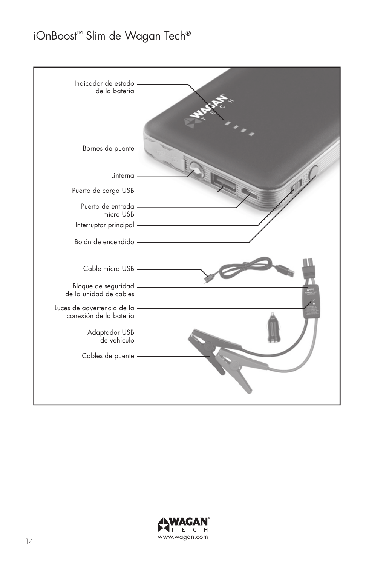## iOnBoost™ Slim de Wagan Tech®



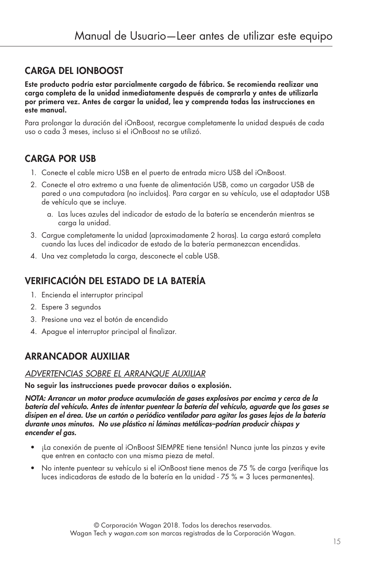## CARGA DEL iOnBoost

Este producto podría estar parcialmente cargado de fábrica. Se recomienda realizar una carga completa de la unidad inmediatamente después de comprarla y antes de utilizarla por primera vez. Antes de cargar la unidad, lea y comprenda todas las instrucciones en este manual.

Para prolongar la duración del iOnBoost, recargue completamente la unidad después de cada uso o cada 3 meses, incluso si el iOnBoost no se utilizó.

## CARGA POR USB

- 1. Conecte el cable micro USB en el puerto de entrada micro USB del iOnBoost.
- 2. Conecte el otro extremo a una fuente de alimentación USB, como un cargador USB de pared o una computadora (no incluidos). Para cargar en su vehículo, use el adaptador USB de vehículo que se incluye.
	- a. Las luces azules del indicador de estado de la batería se encenderán mientras se carga la unidad.
- 3. Cargue completamente la unidad (aproximadamente 2 horas). La carga estará completa cuando las luces del indicador de estado de la batería permanezcan encendidas.
- 4. Una vez completada la carga, desconecte el cable USB.

## VERIFICACIÓN DEL ESTADO DE LA BATERÍA

- 1. Encienda el interruptor principal
- 2. Espere 3 segundos
- 3. Presione una vez el botón de encendido
- 4. Apague el interruptor principal al finalizar.

## ARRANCADOR AUXILIAR

#### *ADVERTENCIAS SOBRE EL ARRANQUE AUXILIAR*

No seguir las instrucciones puede provocar daños o explosión.

*NOTA: Arrancar un motor produce acumulación de gases explosivos por encima y cerca de la batería del vehículo. Antes de intentar puentear la batería del vehículo, aguarde que los gases se disipen en el área. Use un cartón o periódico ventilador para agitar los gases lejos de la batería durante unos minutos. No use plástico ni láminas metálicas–podrían producir chispas y encender el gas.*

- ¡La conexión de puente al iOnBoost SIEMPRE tiene tensión! Nunca junte las pinzas y evite que entren en contacto con una misma pieza de metal.
- No intente puentear su vehículo si el iOnBoost tiene menos de 75 % de carga (verifique las luces indicadoras de estado de la batería en la unidad - 75 % = 3 luces permanentes).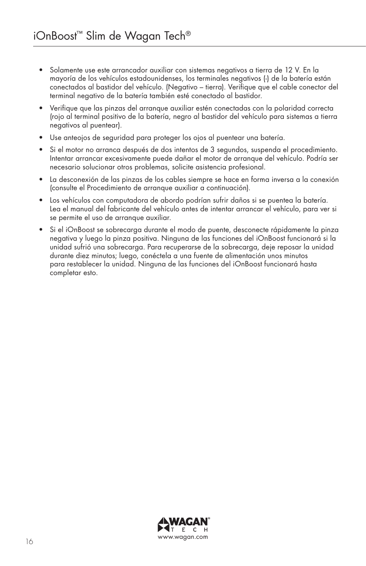- Solamente use este arrancador auxiliar con sistemas negativos a tierra de 12 V. En la mayoría de los vehículos estadounidenses, los terminales negativos (-) de la batería están conectados al bastidor del vehículo. (Negativo – tierra). Verifique que el cable conector del terminal negativo de la batería también esté conectado al bastidor.
- Verifique que las pinzas del arranque auxiliar estén conectadas con la polaridad correcta (rojo al terminal positivo de la batería, negro al bastidor del vehículo para sistemas a tierra negativos al puentear).
- Use anteojos de seguridad para proteger los ojos al puentear una batería.
- Si el motor no arranca después de dos intentos de 3 segundos, suspenda el procedimiento. Intentar arrancar excesivamente puede dañar el motor de arranque del vehículo. Podría ser necesario solucionar otros problemas, solicite asistencia profesional.
- La desconexión de las pinzas de los cables siempre se hace en forma inversa a la conexión (consulte el Procedimiento de arranque auxiliar a continuación).
- Los vehículos con computadora de abordo podrían sufrir daños si se puentea la batería. Lea el manual del fabricante del vehículo antes de intentar arrancar el vehículo, para ver si se permite el uso de arranque auxiliar.
- Si el iOnBoost se sobrecarga durante el modo de puente, desconecte rápidamente la pinza negativa y luego la pinza positiva. Ninguna de las funciones del iOnBoost funcionará si la unidad sufrió una sobrecarga. Para recuperarse de la sobrecarga, deje reposar la unidad durante diez minutos; luego, conéctela a una fuente de alimentación unos minutos para restablecer la unidad. Ninguna de las funciones del iOnBoost funcionará hasta completar esto.

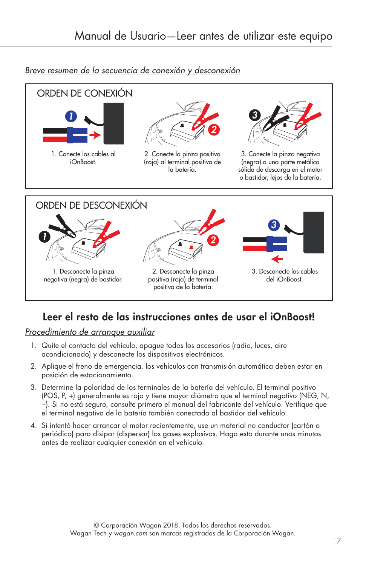

#### *Breve resumen de la secuencia de conexión y desconexión*

## Leer el resto de las instrucciones antes de usar el iOnBoost!

*Procedimiento de arranque auxiliar*

- 1. Quite el contacto del vehículo, apague todos los accesorios (radio, luces, aire acondicionado) y desconecte los dispositivos electrónicos.
- 2. Aplique el freno de emergencia, los vehículos con transmisión automática deben estar en posición de estacionamiento.
- 3. Determine la polaridad de los terminales de la batería del vehículo. El terminal positivo (POS, P, +) generalmente es rojo y tiene mayor diámetro que el terminal negativo (NEG, N, −). Si no está seguro, consulte primero el manual del fabricante del vehículo. Verifique que el terminal negativo de la batería también conectado al bastidor del vehículo.
- 4. Si intentó hacer arrancar el motor recientemente, use un material no conductor (cartón o periódico) para disipar (dispersar) los gases explosivos. Haga esto durante unos minutos antes de realizar cualquier conexión en el vehículo.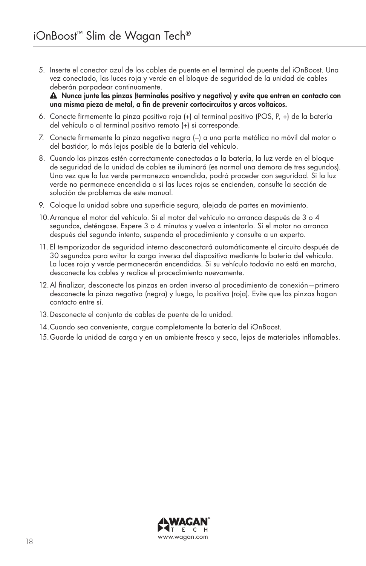5. Inserte el conector azul de los cables de puente en el terminal de puente del iOnBoost. Una vez conectado, las luces roja y verde en el bloque de seguridad de la unidad de cables deberán parpadear continuamente.

 Nunca junte las pinzas (terminales positivo y negativo) y evite que entren en contacto con una misma pieza de metal, a fin de prevenir cortocircuitos y arcos voltaicos.

- 6. Conecte firmemente la pinza positiva roja (+) al terminal positivo (POS, P, +) de la batería del vehículo o al terminal positivo remoto (+) si corresponde.
- 7. Conecte firmemente la pinza negativa negra (−) a una parte metálica no móvil del motor o del bastidor, lo más lejos posible de la batería del vehículo.
- 8. Cuando las pinzas estén correctamente conectadas a la batería, la luz verde en el bloque de seguridad de la unidad de cables se iluminará (es normal una demora de tres segundos). Una vez que la luz verde permanezca encendida, podrá proceder con seguridad. Si la luz verde no permanece encendida o si las luces rojas se encienden, consulte la sección de solución de problemas de este manual.
- 9. Coloque la unidad sobre una superficie segura, alejada de partes en movimiento.
- 10.Arranque el motor del vehículo. Si el motor del vehículo no arranca después de 3 o 4 segundos, deténgase. Espere 3 o 4 minutos y vuelva a intentarlo. Si el motor no arranca después del segundo intento, suspenda el procedimiento y consulte a un experto.
- 11. El temporizador de seguridad interno desconectará automáticamente el circuito después de 30 segundos para evitar la carga inversa del dispositivo mediante la batería del vehículo. La luces roja y verde permanecerán encendidas. Si su vehículo todavía no está en marcha, desconecte los cables y realice el procedimiento nuevamente.
- 12.Al finalizar, desconecte las pinzas en orden inverso al procedimiento de conexión—primero desconecte la pinza negativa (negra) y luego, la positiva (roja). Evite que las pinzas hagan contacto entre sí.
- 13.Desconecte el conjunto de cables de puente de la unidad.
- 14.Cuando sea conveniente, cargue completamente la batería del iOnBoost.
- 15.Guarde la unidad de carga y en un ambiente fresco y seco, lejos de materiales inflamables.

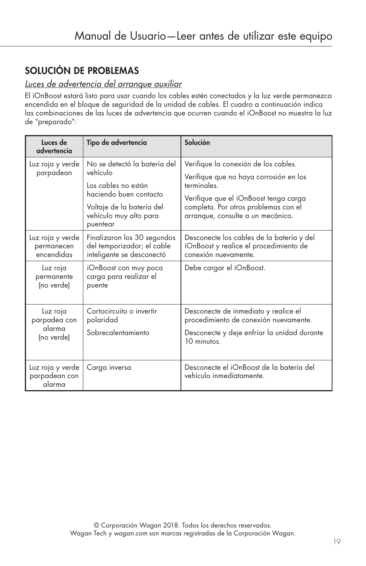## SOLUCIÓN DE PROBLEMAS

## *Luces de advertencia del arranque auxiliar*

El iOnBoost estará listo para usar cuando los cables estén conectados y la luz verde permanezca encendida en el bloque de seguridad de la unidad de cables. El cuadro a continuación indica las combinaciones de las luces de advertencia que ocurren cuando el iOnBoost no muestra la luz de "preparado":

| Luces de<br>advertencia                          | Tipo de advertencia                                                                                                                                          | Solución                                                                                                                                                                                                            |
|--------------------------------------------------|--------------------------------------------------------------------------------------------------------------------------------------------------------------|---------------------------------------------------------------------------------------------------------------------------------------------------------------------------------------------------------------------|
| Luz roja y verde<br>parpadean                    | No se detectó la batería del<br>vehículo<br>Los cables no están<br>haciendo buen contacto<br>Voltaje de la batería del<br>vehículo muy alto para<br>puentear | Verifique la conexión de los cables.<br>Verifique que no haya corrosión en los<br>terminales.<br>Verifique que el iOnBoost tenga carga<br>completa. Por otros problemas con el<br>arranque, consulte a un mecánico. |
| Luz roja y verde<br>permanecen<br>encendidas     | Finalizaron los 30 segundos<br>del temporizador; el cable<br>inteligente se desconectó                                                                       | Desconecte los cables de la batería y del<br>iOnBoost y realice el procedimiento de<br>conexión nuevamente.                                                                                                         |
| Luz roja<br>permanente<br>(no verde)             | iOnBoost con muy poca<br>carga para realizar el<br>puente                                                                                                    | Debe cargar el iOnBoost.                                                                                                                                                                                            |
| Luz roja<br>parpadea con<br>alarma<br>(no verde) | Cortocircuito o invertir<br>polaridad<br>Sobrecalentamiento                                                                                                  | Desconecte de inmediato y realice el<br>procedimiento de conexión nuevamente.<br>Desconecte y deje enfriar la unidad durante<br>10 minutos.                                                                         |
| Luz roja y verde<br>parpadean con<br>alarma      | Carga inversa                                                                                                                                                | Desconecte el iOnBoost de la batería del<br>vehículo inmediatamente.                                                                                                                                                |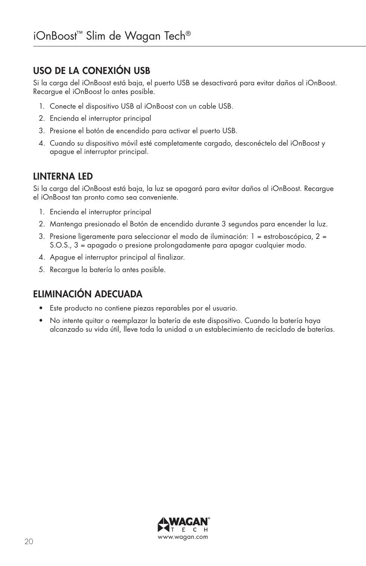## USO DE LA CONEXIÓN USB

Si la carga del iOnBoost está baja, el puerto USB se desactivará para evitar daños al iOnBoost. Recargue el iOnBoost lo antes posible.

- 1. Conecte el dispositivo USB al iOnBoost con un cable USB.
- 2. Encienda el interruptor principal
- 3. Presione el botón de encendido para activar el puerto USB.
- 4. Cuando su dispositivo móvil esté completamente cargado, desconéctelo del iOnBoost y apague el interruptor principal.

## LINTERNA LED

Si la carga del iOnBoost está baja, la luz se apagará para evitar daños al iOnBoost. Recargue el iOnBoost tan pronto como sea conveniente.

- 1. Encienda el interruptor principal
- 2. Mantenga presionado el Botón de encendido durante 3 segundos para encender la luz.
- 3. Presione ligeramente para seleccionar el modo de iluminación: 1 = estroboscópica, 2 = S.O.S., 3 = apagado o presione prolongadamente para apagar cualquier modo.
- 4. Apague el interruptor principal al finalizar.
- 5. Recargue la batería lo antes posible.

## ELIMINACIÓN ADECUADA

- Este producto no contiene piezas reparables por el usuario.
- No intente quitar o reemplazar la batería de este dispositivo. Cuando la batería haya alcanzado su vida útil, lleve toda la unidad a un establecimiento de reciclado de baterías.

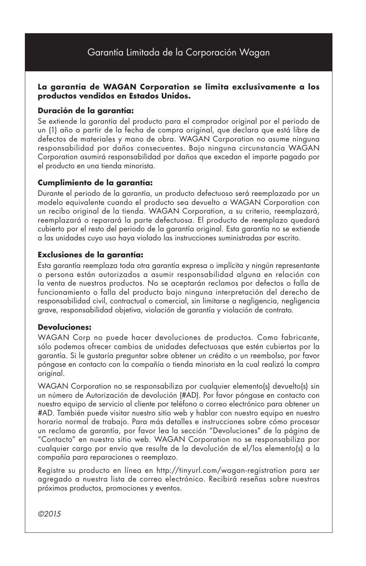## Garantía Limitada de la Corporación Wagan

#### **La garantía de WAGAN Corporation se limita exclusivamente a los productos vendidos en Estados Unidos.**

#### **Duración de la garantía:**

Se extiende la garantía del producto para el comprador original por el periodo de un (1) año a partir de la fecha de compra original, que declara que está libre de defectos de materiales y mano de obra. WAGAN Corporation no asume ninguna responsabilidad por daños consecuentes. Bajo ninguna circunstancia WAGAN Corporation asumirá responsabilidad por daños que excedan el importe pagado por el producto en una tienda minorista.

#### **Cumplimiento de la garantía:**

Durante el periodo de la garantía, un producto defectuoso será reemplazado por un modelo equivalente cuando el producto sea devuelto a WAGAN Corporation con un recibo original de la tienda. WAGAN Corporation, a su criterio, reemplazará, reemplazará o reparará la parte defectuosa. El producto de reemplazo quedará cubierto por el resto del periodo de la garantía original. Esta garantía no se extiende a las unidades cuyo uso haya violado las instrucciones suministradas por escrito.

#### **Exclusiones de la garantía:**

Esta garantía reemplaza toda otra garantía expresa o implícita y ningún representante o persona están autorizados a asumir responsabilidad alguna en relación con la venta de nuestros productos. No se aceptarán reclamos por defectos o falla de funcionamiento o falla del producto bajo ninguna interpretación del derecho de responsabilidad civil, contractual o comercial, sin limitarse a negligencia, negligencia grave, responsabilidad objetiva, violación de garantía y violación de contrato.

#### **Devoluciones:**

WAGAN Corp no puede hacer devoluciones de productos. Como fabricante, sólo podemos ofrecer cambios de unidades defectuosas que estén cubiertas por la garantía. Si le gustaría preguntar sobre obtener un crédito o un reembolso, por favor póngase en contacto con la compañía o tienda minorista en la cual realizó la compra original.

WAGAN Corporation no se responsabiliza por cualquier elemento(s) devuelto(s) sin un número de Autorización de devolución (#AD). Por favor póngase en contacto con nuestro equipo de servicio al cliente por teléfono o correo electrónico para obtener un #AD. También puede visitar nuestro sitio web y hablar con nuestro equipo en nuestro horario normal de trabajo. Para más detalles e instrucciones sobre cómo procesar un reclamo de garantía, por favor lea la sección "Devoluciones" de la página de "Contacto" en nuestro sitio web. WAGAN Corporation no se responsabiliza por cualquier cargo por envío que resulte de la devolución de el/los elemento(s) a la compañía para reparaciones o reemplazo.

Registre su producto en línea en http://tinyurl.com/wagan-registration para ser agregado a nuestra lista de correo electrónico. Recibirá reseñas sobre nuestros próximos productos, promociones y eventos.

*©2015*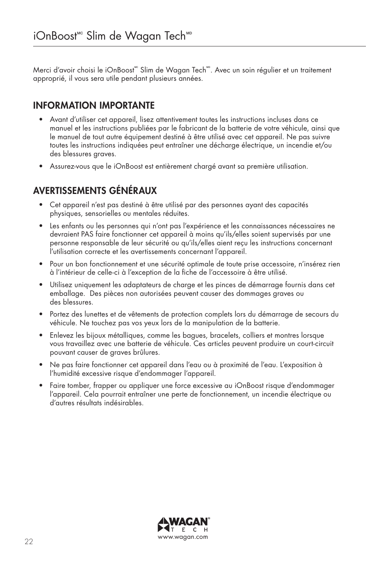Merci d'avoir choisi le iOnBoost<sup>"</sup> Slim de Wagan Tech<sup>""</sup>. Avec un soin régulier et un traitement approprié, il vous sera utile pendant plusieurs années.

## INFORMATION IMPORTANTE

- Avant d'utiliser cet appareil, lisez attentivement toutes les instructions incluses dans ce manuel et les instructions publiées par le fabricant de la batterie de votre véhicule, ainsi que le manuel de tout autre équipement destiné à être utilisé avec cet appareil. Ne pas suivre toutes les instructions indiquées peut entraîner une décharge électrique, un incendie et/ou des blessures graves.
- Assurez-vous que le iOnBoost est entièrement chargé avant sa première utilisation.

## AVERTISSEMENTS GÉNÉRAUX

- Cet appareil n'est pas destiné à être utilisé par des personnes ayant des capacités physiques, sensorielles ou mentales réduites.
- Les enfants ou les personnes qui n'ont pas l'expérience et les connaissances nécessaires ne devraient PAS faire fonctionner cet appareil à moins qu'ils/elles soient supervisés par une personne responsable de leur sécurité ou qu'ils/elles aient reçu les instructions concernant l'utilisation correcte et les avertissements concernant l'appareil.
- Pour un bon fonctionnement et une sécurité optimale de toute prise accessoire, n'insérez rien à l'intérieur de celle-ci à l'exception de la fiche de l'accessoire à être utilisé.
- Utilisez uniquement les adaptateurs de charge et les pinces de démarrage fournis dans cet emballage. Des pièces non autorisées peuvent causer des dommages graves ou des blessures.
- Portez des lunettes et de vêtements de protection complets lors du démarrage de secours du véhicule. Ne touchez pas vos yeux lors de la manipulation de la batterie.
- Enlevez les bijoux métalliques, comme les bagues, bracelets, colliers et montres lorsque vous travaillez avec une batterie de véhicule. Ces articles peuvent produire un court-circuit pouvant causer de graves brûlures.
- Ne pas faire fonctionner cet appareil dans l'eau ou à proximité de l'eau. L'exposition à l'humidité excessive risque d'endommager l'appareil.
- Faire tomber, frapper ou appliquer une force excessive au iOnBoost risque d'endommager l'appareil. Cela pourrait entraîner une perte de fonctionnement, un incendie électrique ou d'autres résultats indésirables.

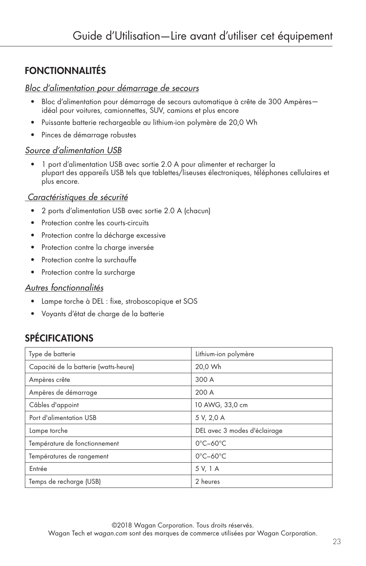## FONCTIONNALITÉS

#### *Bloc d'alimentation pour démarrage de secours*

- Bloc d'alimentation pour démarrage de secours automatique à crête de 300 Ampères idéal pour voitures, camionnettes, SUV, camions et plus encore
- Puissante batterie rechargeable au lithium-ion polymère de 20,0 Wh
- Pinces de démarrage robustes

#### *Source d'alimentation USB*

• 1 port d'alimentation USB avec sortie 2.0 A pour alimenter et recharger la plupart des appareils USB tels que tablettes/liseuses électroniques, téléphones cellulaires et plus encore.

#### *Caractéristiques de sécurité*

- 2 ports d'alimentation USB avec sortie 2.0 A (chacun)
- Protection contre les courts-circuits
- Protection contre la décharge excessive
- Protection contre la charge inversée
- Protection contre la surchauffe
- Protection contre la surcharge

#### *Autres fonctionnalités*

- Lampe torche à DEL : fixe, stroboscopique et SOS
- Voyants d'état de charge de la batterie

## SPÉCIFICATIONS

| Type de batterie                      | Lithium-ion polymère          |
|---------------------------------------|-------------------------------|
| Capacité de la batterie (watts-heure) | 20,0 Wh                       |
| Ampères crête                         | 300 A                         |
| Ampères de démarrage                  | 200 A                         |
| Câbles d'appoint                      | 10 AWG, 33,0 cm               |
| Port d'alimentation USB               | 5 V, 2,0 A                    |
| Lampe torche                          | DEL avec 3 modes d'éclairage  |
| Température de fonctionnement         | $0^{\circ}$ C-60 $^{\circ}$ C |
| Températures de rangement             | $0^{\circ}$ C-60 $^{\circ}$ C |
| Entrée                                | 5 V, 1 A                      |
| Temps de recharge (USB)               | 2 heures                      |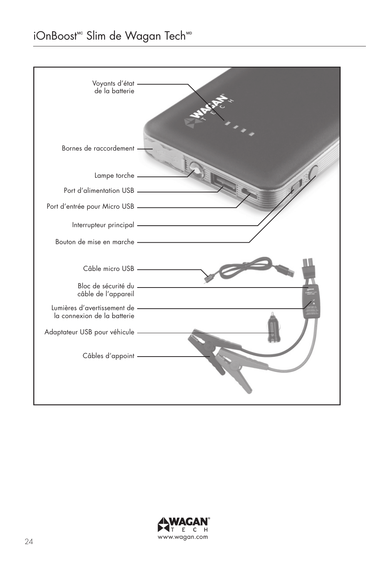## iOnBoost<sup>™</sup> Slim de Wagan Tech<sup>™</sup>



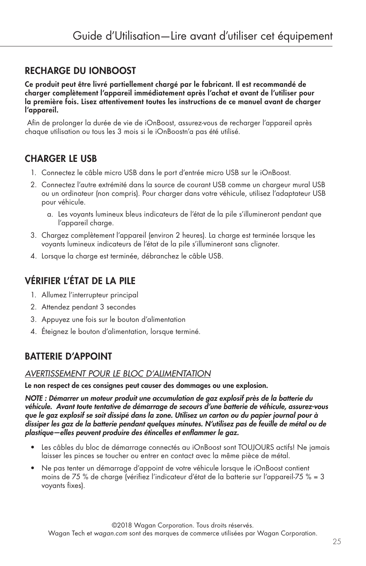## RECHARGE DU iOnBoost

Ce produit peut être livré partiellement chargé par le fabricant. Il est recommandé de charger complètement l'appareil immédiatement après l'achat et avant de l'utiliser pour la première fois. Lisez attentivement toutes les instructions de ce manuel avant de charger l'appareil.

 Afin de prolonger la durée de vie de iOnBoost, assurez-vous de recharger l'appareil après chaque utilisation ou tous les 3 mois si le iOnBoostn'a pas été utilisé.

## CHARGER LE USB

- 1. Connectez le câble micro USB dans le port d'entrée micro USB sur le iOnBoost.
- 2. Connectez l'autre extrémité dans la source de courant USB comme un chargeur mural USB ou un ordinateur (non compris). Pour charger dans votre véhicule, utilisez l'adaptateur USB pour véhicule.
	- a. Les voyants lumineux bleus indicateurs de l'état de la pile s'illumineront pendant que l'appareil charge.
- 3. Chargez complètement l'appareil (environ 2 heures). La charge est terminée lorsque les voyants lumineux indicateurs de l'état de la pile s'illumineront sans clignoter.
- 4. Lorsque la charge est terminée, débranchez le câble USB.

## VÉRIFIER L'ÉTAT DE LA PILE

- 1. Allumez l'interrupteur principal
- 2. Attendez pendant 3 secondes
- 3. Appuyez une fois sur le bouton d'alimentation
- 4. Éteignez le bouton d'alimentation, lorsque terminé.

## BATTERIE D'APPOINT

#### *AVERTISSEMENT POUR LE BLOC D'ALIMENTATION*

Le non respect de ces consignes peut causer des dommages ou une explosion.

*NOTE : Démarrer un moteur produit une accumulation de gaz explosif près de la batterie du véhicule. Avant toute tentative de démarrage de secours d'une batterie de véhicule, assurez-vous que le gaz explosif se soit dissipé dans la zone. Utilisez un carton ou du papier journal pour à dissiper les gaz de la batterie pendant quelques minutes. N'utilisez pas de feuille de métal ou de plastique—elles peuvent produire des étincelles et enflammer le gaz.*

- Les câbles du bloc de démarrage connectés au iOnBoost sont TOUJOURS actifs! Ne jamais laisser les pinces se toucher ou entrer en contact avec la même pièce de métal.
- Ne pas tenter un démarrage d'appoint de votre véhicule lorsque le iOnBoost contient moins de 75 % de charge (vérifiez l'indicateur d'état de la batterie sur l'appareil-75 % = 3 voyants fixes).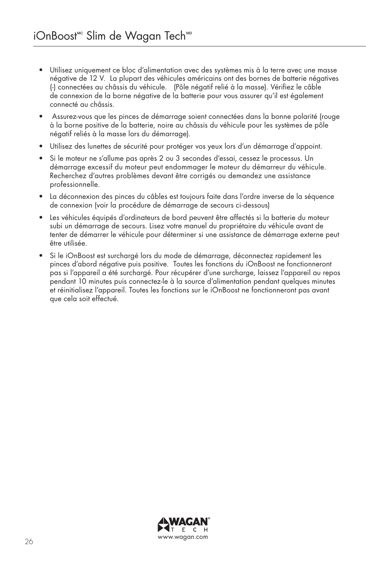- Utilisez uniquement ce bloc d'alimentation avec des systèmes mis à la terre avec une masse négative de 12 V. La plupart des véhicules américains ont des bornes de batterie négatives (-) connectées au châssis du véhicule. (Pôle négatif relié à la masse). Vérifiez le câble de connexion de la borne négative de la batterie pour vous assurer qu'il est également connecté au châssis.
- Assurez-vous que les pinces de démarrage soient connectées dans la bonne polarité (rouge à la borne positive de la batterie, noire au châssis du véhicule pour les systèmes de pôle négatif reliés à la masse lors du démarrage).
- Utilisez des lunettes de sécurité pour protéger vos yeux lors d'un démarrage d'appoint.
- Si le moteur ne s'allume pas après 2 ou 3 secondes d'essai, cessez le processus. Un démarrage excessif du moteur peut endommager le moteur du démarreur du véhicule. Recherchez d'autres problèmes devant être corrigés ou demandez une assistance professionnelle.
- La déconnexion des pinces du câbles est toujours faite dans l'ordre inverse de la séquence de connexion (voir la procédure de démarrage de secours ci-dessous)
- Les véhicules équipés d'ordinateurs de bord peuvent être affectés si la batterie du moteur subi un démarrage de secours. Lisez votre manuel du propriétaire du véhicule avant de tenter de démarrer le véhicule pour déterminer si une assistance de démarrage externe peut être utilisée.
- Si le iOnBoost est surchargé lors du mode de démarrage, déconnectez rapidement les pinces d'abord négative puis positive. Toutes les fonctions du iOnBoost ne fonctionneront pas si l'appareil a été surchargé. Pour récupérer d'une surcharge, laissez l'appareil au repos pendant 10 minutes puis connectez-le à la source d'alimentation pendant quelques minutes et réinitialisez l'appareil. Toutes les fonctions sur le iOnBoost ne fonctionneront pas avant que cela soit effectué.

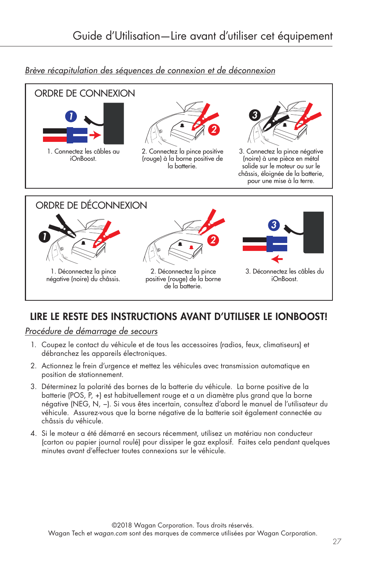#### *Brève récapitulation des séquences de connexion et de déconnexion*



## LIRE LE RESTE DES INSTRUCTIONS AVANT D'UTILISER LE IONBOOST!

*Procédure de démarrage de secours*

- 1. Coupez le contact du véhicule et de tous les accessoires (radios, feux, climatiseurs) et débranchez les appareils électroniques.
- 2. Actionnez le frein d'urgence et mettez les véhicules avec transmission automatique en position de stationnement.
- 3. Déterminez la polarité des bornes de la batterie du véhicule. La borne positive de la batterie (POS, P, +) est habituellement rouge et a un diamètre plus grand que la borne négative (NEG, N, −). Si vous êtes incertain, consultez d'abord le manuel de l'utilisateur du véhicule. Assurez-vous que la borne négative de la batterie soit également connectée au châssis du véhicule.
- 4. Si le moteur a été démarré en secours récemment, utilisez un matériau non conducteur (carton ou papier journal roulé) pour dissiper le gaz explosif. Faites cela pendant quelques minutes avant d'effectuer toutes connexions sur le véhicule.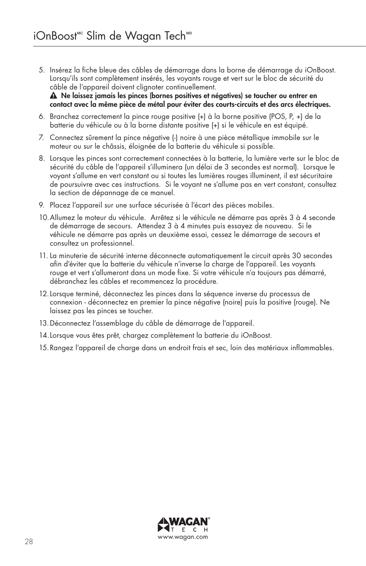- 5. Insérez la fiche bleue des câbles de démarrage dans la borne de démarrage du iOnBoost. Lorsqu'ils sont complètement insérés, les voyants rouge et vert sur le bloc de sécurité du câble de l'appareil doivent clignoter continuellement. Ne laissez jamais les pinces (bornes positives et négatives) se toucher ou entrer en contact avec la même pièce de métal pour éviter des courts-circuits et des arcs électriques.
- 6. Branchez correctement la pince rouge positive (+) à la borne positive (POS, P, +) de la batterie du véhicule ou à la borne distante positive (+) si le véhicule en est équipé.
- 7. Connectez sûrement la pince négative (-) noire à une pièce métallique immobile sur le moteur ou sur le châssis, éloignée de la batterie du véhicule si possible.
- 8. Lorsque les pinces sont correctement connectées à la batterie, la lumière verte sur le bloc de sécurité du câble de l'appareil s'illuminera (un délai de 3 secondes est normal). Lorsque le voyant s'allume en vert constant ou si toutes les lumières rouges illuminent, il est sécuritaire de poursuivre avec ces instructions. Si le voyant ne s'allume pas en vert constant, consultez la section de dépannage de ce manuel.
- 9. Placez l'appareil sur une surface sécurisée à l'écart des pièces mobiles.
- 10.Allumez le moteur du véhicule. Arrêtez si le véhicule ne démarre pas après 3 à 4 seconde de démarrage de secours. Attendez 3 à 4 minutes puis essayez de nouveau. Si le véhicule ne démarre pas après un deuxième essai, cessez le démarrage de secours et consultez un professionnel.
- 11. La minuterie de sécurité interne déconnecte automatiquement le circuit après 30 secondes afin d'éviter que la batterie du véhicule n'inverse la charge de l'appareil. Les voyants rouge et vert s'allumeront dans un mode fixe. Si votre véhicule n'a toujours pas démarré, débranchez les câbles et recommencez la procédure.
- 12.Lorsque terminé, déconnectez les pinces dans la séquence inverse du processus de connexion - déconnectez en premier la pince négative (noire) puis la positive (rouge). Ne laissez pas les pinces se toucher.
- 13.Déconnectez l'assemblage du câble de démarrage de l'appareil.
- 14.Lorsque vous êtes prêt, chargez complètement la batterie du iOnBoost.
- 15.Rangez l'appareil de charge dans un endroit frais et sec, loin des matériaux inflammables.

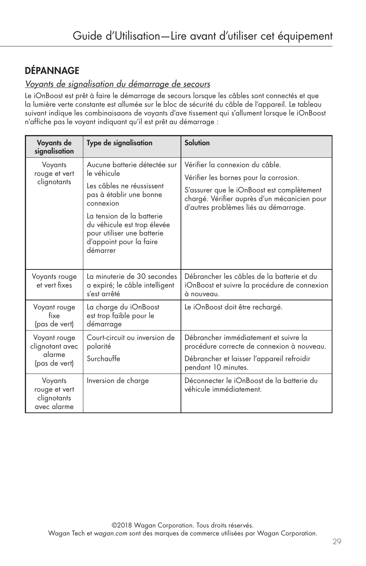## DÉPANNAGE

#### *Voyants de signalisation du démarrage de secours*

Le iOnBoost est prêt à faire le démarrage de secours lorsque les câbles sont connectés et que la lumière verte constante est allumée sur le bloc de sécurité du câble de l'appareil. Le tableau suivant indique les combinaisaons de voyants d'ave tissement qui s'allument lorsque le iOnBoost n'affiche pas le voyant indiquant qu'il est prêt au démarrage :

| Voyants de<br>signalisation                                | Type de signalisation                                                                                                                                                                                                                             | <b>Solution</b>                                                                                                                                                                                                  |
|------------------------------------------------------------|---------------------------------------------------------------------------------------------------------------------------------------------------------------------------------------------------------------------------------------------------|------------------------------------------------------------------------------------------------------------------------------------------------------------------------------------------------------------------|
| Voyants<br>rouge et vert<br>clignotants                    | Aucune batterie détectée sur<br>le véhicule<br>Les câbles ne réussissent<br>pas à établir une bonne<br>connexion<br>La tension de la batterie<br>du véhicule est trop élevée<br>pour utiliser une batterie<br>d'appoint pour la faire<br>démarrer | Vérifier la connexion du câble.<br>Vérifier les bornes pour la corrosion.<br>S'assurer que le iOnBoost est complètement<br>chargé. Vérifier auprès d'un mécanicien pour<br>d'autres problèmes liés au démarrage. |
| Voyants rouge<br>et vert fixes                             | La minuterie de 30 secondes<br>a expiré; le câble intelligent<br>s'est arrêté                                                                                                                                                                     | Débrancher les câbles de la batterie et du<br>iOnBoost et suivre la procédure de connexion<br>à nouveau.                                                                                                         |
| Voyant rouge<br>fixe<br>(pas de vert)                      | La charge du iOnBoost<br>est trop faible pour le<br>démarrage                                                                                                                                                                                     | Le iOnBoost doit être rechargé.                                                                                                                                                                                  |
| Voyant rouge<br>clignotant avec<br>alarme<br>(pas de vert) | Court-circuit ou inversion de<br>polarité<br>Surchauffe                                                                                                                                                                                           | Débrancher immédiatement et suivre la<br>procédure correcte de connexion à nouveau.<br>Débrancher et laisser l'appareil refroidir<br>pendant 10 minutes.                                                         |
| Voyants<br>rouge et vert<br>clignotants<br>avec alarme     | Inversion de charge                                                                                                                                                                                                                               | Déconnecter le jOnBoost de la batterie du<br>véhicule immédiatement.                                                                                                                                             |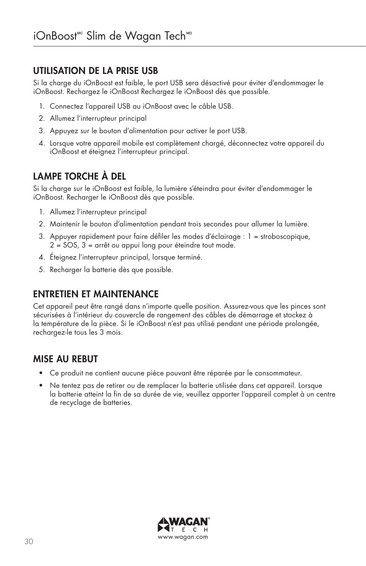## UTILISATION DE LA PRISE USB

Si la charge du iOnBoost est faible, le port USB sera désactivé pour éviter d'endommager le iOnBoost. Rechargez le iOnBoost Rechargez le iOnBoost dès que possible.

- 1. Connectez l'appareil USB au iOnBoost avec le câble USB.
- 2. Allumez l'interrupteur principal
- 3. Appuyez sur le bouton d'alimentation pour activer le port USB.
- 4. Lorsque votre appareil mobile est complètement chargé, déconnectez votre appareil du iOnBoost et éteignez l'interrupteur principal.

## LAMPE TORCHE À DEL

Si la charge sur le iOnBoost est faible, la lumière s'éteindra pour éviter d'endommager le iOnBoost. Recharger le iOnBoost dès que possible.

- 1. Allumez l'interrupteur principal
- 2. Maintenir le bouton d'alimentation pendant trois secondes pour allumer la lumière.
- 3. Appuyer rapidement pour faire défiler les modes d'éclairage : 1 = stroboscopique, 2 = SOS, 3 = arrêt ou appui long pour éteindre tout mode.
- 4. Éteignez l'interrupteur principal, lorsque terminé.
- 5. Recharger la batterie dès que possible.

## ENTRETIEN ET MAINTENANCE

Cet appareil peut être rangé dans n'importe quelle position. Assurez-vous que les pinces sont sécurisées à l'intérieur du couvercle de rangement des câbles de démarrage et stockez à la température de la pièce. Si le iOnBoost n'est pas utilisé pendant une période prolongée, rechargez-le tous les 3 mois.

## MISE AU REBUT

- Ce produit ne contient aucune pièce pouvant être réparée par le consommateur.
- Ne tentez pas de retirer ou de remplacer la batterie utilisée dans cet appareil. Lorsque la batterie atteint la fin de sa durée de vie, veuillez apporter l'appareil complet à un centre de recyclage de batteries.

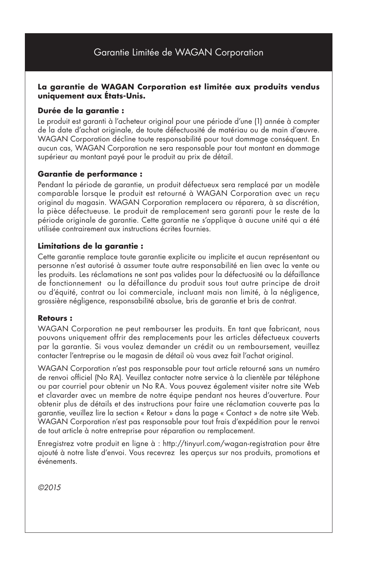#### **La garantie de WAGAN Corporation est limitée aux produits vendus uniquement aux États-Unis.**

#### **Durée de la garantie :**

Le produit est garanti à l'acheteur original pour une période d'une (1) année à compter de la date d'achat originale, de toute défectuosité de matériau ou de main d'œuvre. WAGAN Corporation décline toute responsabilité pour tout dommage conséquent. En aucun cas, WAGAN Corporation ne sera responsable pour tout montant en dommage supérieur au montant payé pour le produit au prix de détail.

#### **Garantie de performance :**

Pendant la période de garantie, un produit défectueux sera remplacé par un modèle comparable lorsque le produit est retourné à WAGAN Corporation avec un reçu original du magasin. WAGAN Corporation remplacera ou réparera, à sa discrétion, la pièce défectueuse. Le produit de remplacement sera garanti pour le reste de la période originale de garantie. Cette garantie ne s'applique à aucune unité qui a été utilisée contrairement aux instructions écrites fournies.

#### **Limitations de la garantie :**

Cette garantie remplace toute garantie explicite ou implicite et aucun représentant ou personne n'est autorisé à assumer toute autre responsabilité en lien avec la vente ou les produits. Les réclamations ne sont pas valides pour la défectuosité ou la défaillance de fonctionnement ou la défaillance du produit sous tout autre principe de droit ou d'équité, contrat ou loi commerciale, incluant mais non limité, à la négligence, grossière négligence, responsabilité absolue, bris de garantie et bris de contrat.

#### **Retours :**

WAGAN Corporation ne peut rembourser les produits. En tant que fabricant, nous pouvons uniquement offrir des remplacements pour les articles défectueux couverts par la garantie. Si vous voulez demander un crédit ou un remboursement, veuillez contacter l'entreprise ou le magasin de détail où vous avez fait l'achat original.

WAGAN Corporation n'est pas responsable pour tout article retourné sans un numéro de renvoi officiel (No RA). Veuillez contacter notre service à la clientèle par téléphone ou par courriel pour obtenir un No RA. Vous pouvez également visiter notre site Web et clavarder avec un membre de notre équipe pendant nos heures d'ouverture. Pour obtenir plus de détails et des instructions pour faire une réclamation couverte pas la garantie, veuillez lire la section « Retour » dans la page « Contact » de notre site Web. WAGAN Corporation n'est pas responsable pour tout frais d'expédition pour le renvoi de tout article à notre entreprise pour réparation ou remplacement.

Enregistrez votre produit en ligne à : http://tinyurl.com/wagan-registration pour être ajouté à notre liste d'envoi. Vous recevrez les aperçus sur nos produits, promotions et événements.

*©2015*